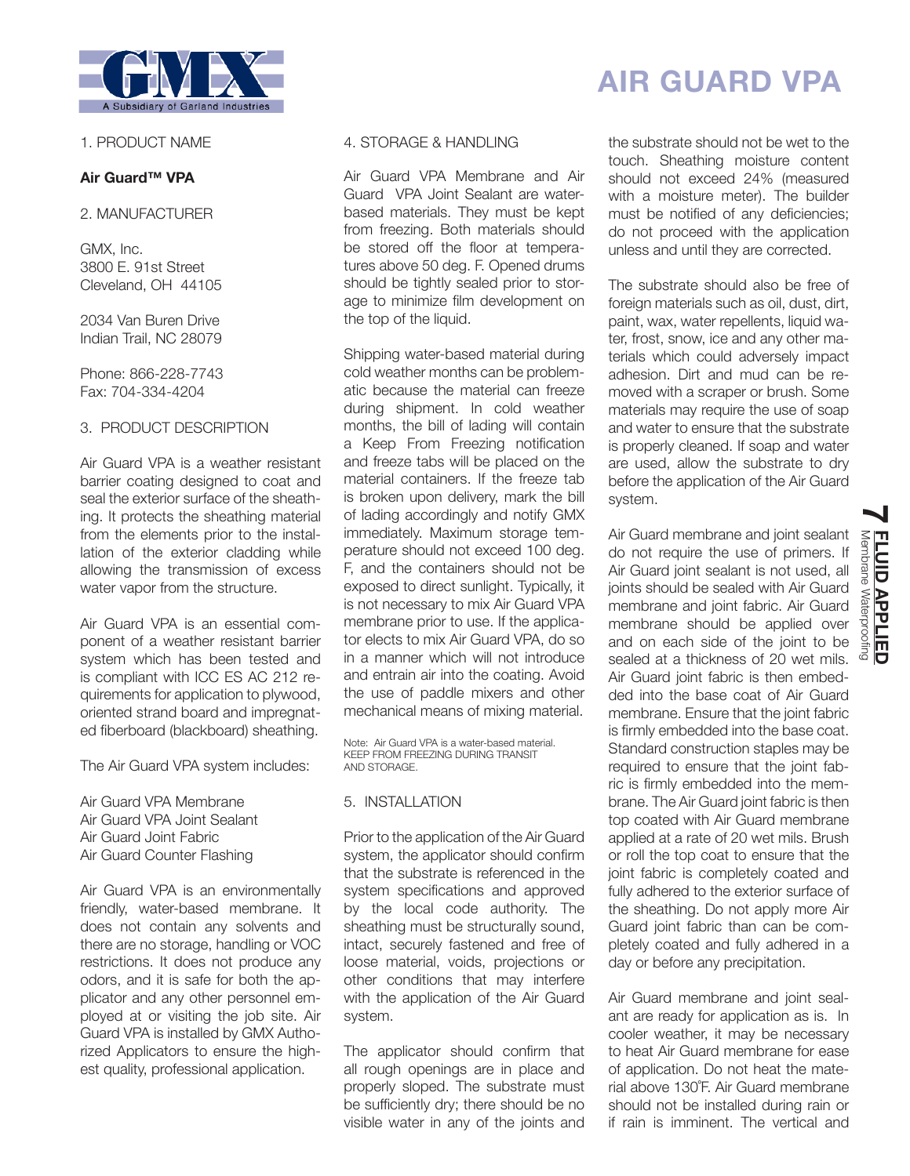

### 1. PRODUCT NAME

### **Air Guard™ VPA**

2. MANUFACTURER

GMX, Inc. 3800 E. 91st Street Cleveland, OH 44105

2034 Van Buren Drive Indian Trail, NC 28079

Phone: 866-228-7743 Fax: 704-334-4204

### 3. PRODUCT DESCRIPTION

Air Guard VPA is a weather resistant barrier coating designed to coat and seal the exterior surface of the sheathing. It protects the sheathing material from the elements prior to the installation of the exterior cladding while allowing the transmission of excess water vapor from the structure.

Air Guard VPA is an essential component of a weather resistant barrier system which has been tested and is compliant with ICC ES AC 212 requirements for application to plywood, oriented strand board and impregnated fiberboard (blackboard) sheathing.

The Air Guard VPA system includes:

Air Guard VPA Membrane

- Air Guard VPA Joint Sealant
- Air Guard Joint Fabric
- Air Guard Counter Flashing

Air Guard VPA is an environmentally friendly, water-based membrane. It does not contain any solvents and there are no storage, handling or VOC restrictions. It does not produce any odors, and it is safe for both the applicator and any other personnel employed at or visiting the job site. Air Guard VPA is installed by GMX Authorized Applicators to ensure the highest quality, professional application.

### 4. STORAGE & HANDLING

Air Guard VPA Membrane and Air Guard VPA Joint Sealant are waterbased materials. They must be kept from freezing. Both materials should be stored off the floor at temperatures above 50 deg. F. Opened drums should be tightly sealed prior to storage to minimize film development on the top of the liquid.

Shipping water-based material during cold weather months can be problematic because the material can freeze during shipment. In cold weather months, the bill of lading will contain a Keep From Freezing notification and freeze tabs will be placed on the material containers. If the freeze tab is broken upon delivery, mark the bill of lading accordingly and notify GMX immediately. Maximum storage temperature should not exceed 100 deg. F, and the containers should not be exposed to direct sunlight. Typically, it is not necessary to mix Air Guard VPA membrane prior to use. If the applicator elects to mix Air Guard VPA, do so in a manner which will not introduce and entrain air into the coating. Avoid the use of paddle mixers and other mechanical means of mixing material.

Note: Air Guard VPA is a water-based material. KEEP FROM FREEZING DURING TRANSIT AND STORAGE.

## 5. INSTALLATION

Prior to the application of the Air Guard system, the applicator should confirm that the substrate is referenced in the system specifications and approved by the local code authority. The sheathing must be structurally sound, intact, securely fastened and free of loose material, voids, projections or other conditions that may interfere with the application of the Air Guard system.

The applicator should confirm that all rough openings are in place and properly sloped. The substrate must be sufficiently dry; there should be no visible water in any of the joints and

# **AIR GUARD VPA**

the substrate should not be wet to the touch. Sheathing moisture content should not exceed 24% (measured with a moisture meter). The builder must be notified of any deficiencies; do not proceed with the application unless and until they are corrected.

The substrate should also be free of foreign materials such as oil, dust, dirt, paint, wax, water repellents, liquid water, frost, snow, ice and any other materials which could adversely impact adhesion. Dirt and mud can be removed with a scraper or brush. Some materials may require the use of soap and water to ensure that the substrate is properly cleaned. If soap and water are used, allow the substrate to dry before the application of the Air Guard system.

Air Guard membrane and joint sealant do not require the use of primers. If Air Guard joint sealant is not used, all joints should be sealed with Air Guard membrane and joint fabric. Air Guard membrane should be applied over and on each side of the joint to be sealed at a thickness of 20 wet mils. Air Guard joint fabric is then embedded into the base coat of Air Guard membrane. Ensure that the joint fabric is firmly embedded into the base coat. Standard construction staples may be required to ensure that the joint fabric is firmly embedded into the membrane. The Air Guard joint fabric is then top coated with Air Guard membrane applied at a rate of 20 wet mils. Brush or roll the top coat to ensure that the joint fabric is completely coated and fully adhered to the exterior surface of the sheathing. Do not apply more Air Guard joint fabric than can be completely coated and fully adhered in a day or before any precipitation.

Air Guard membrane and joint sealant are ready for application as is. In cooler weather, it may be necessary to heat Air Guard membrane for ease of application. Do not heat the material above 130˚F. Air Guard membrane should not be installed during rain or if rain is imminent. The vertical and